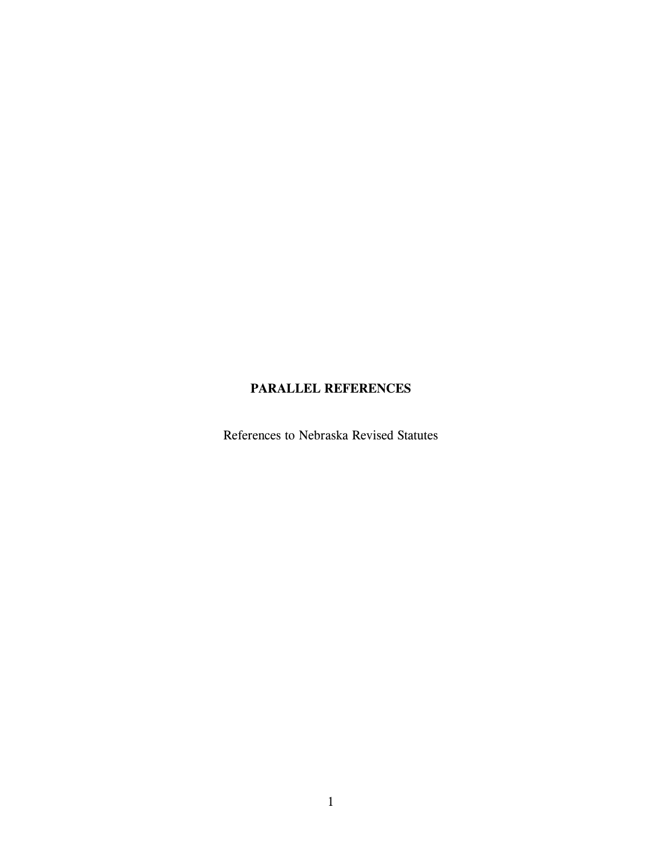# **PARALLEL REFERENCES**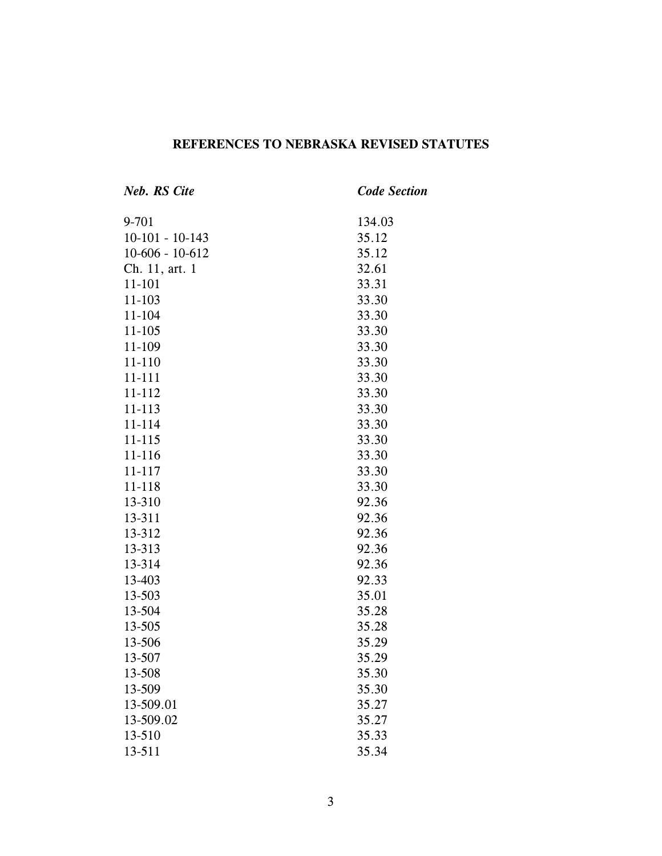## **REFERENCES TO NEBRASKA REVISED STATUTES**

| <b>Neb. RS Cite</b> | <b>Code Section</b> |
|---------------------|---------------------|
| 9-701               | 134.03              |
| $10-101 - 10-143$   | 35.12               |
| $10-606 - 10-612$   | 35.12               |
| Ch. 11, art. 1      | 32.61               |
| 11-101              | 33.31               |
| 11-103              | 33.30               |
| 11-104              | 33.30               |
| 11-105              | 33.30               |
| 11-109              | 33.30               |
| 11-110              | 33.30               |
| 11-111              | 33.30               |
| 11-112              | 33.30               |
| 11-113              | 33.30               |
| 11-114              | 33.30               |
| 11-115              | 33.30               |
| 11-116              | 33.30               |
| $11 - 117$          | 33.30               |
| 11-118              | 33.30               |
| 13-310              | 92.36               |
| 13-311              | 92.36               |
| 13-312              | 92.36               |
| 13-313              | 92.36               |
| 13-314              | 92.36               |
| 13-403              | 92.33               |
| 13-503              | 35.01               |
| 13-504              | 35.28               |
| 13-505              | 35.28               |
| 13-506              | 35.29               |
| 13-507              | 35.29               |
| 13-508              | 35.30               |
| 13-509              | 35.30               |
| 13-509.01           | 35.27               |
| 13-509.02           | 35.27               |
| 13-510              | 35.33               |
| 13-511              | 35.34               |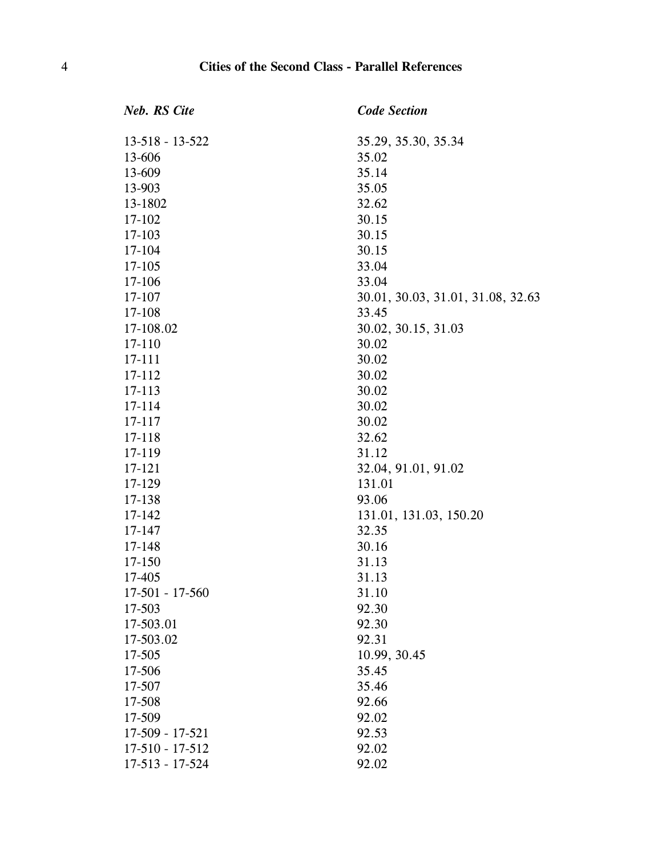| <b>Neb.</b> RS Cite   | <b>Code Section</b>               |
|-----------------------|-----------------------------------|
| $13 - 518 - 13 - 522$ | 35.29, 35.30, 35.34               |
| 13-606                | 35.02                             |
| 13-609                | 35.14                             |
| 13-903                | 35.05                             |
| 13-1802               | 32.62                             |
| 17-102                | 30.15                             |
| 17-103                | 30.15                             |
| 17-104                | 30.15                             |
| 17-105                | 33.04                             |
| 17-106                | 33.04                             |
| 17-107                | 30.01, 30.03, 31.01, 31.08, 32.63 |
| 17-108                | 33.45                             |
| 17-108.02             | 30.02, 30.15, 31.03               |
| 17-110                | 30.02                             |
| 17-111                | 30.02                             |
| 17-112                | 30.02                             |
| 17-113                | 30.02                             |
| 17-114                | 30.02                             |
| 17-117                | 30.02                             |
| 17-118                | 32.62                             |
| 17-119                | 31.12                             |
| 17-121                | 32.04, 91.01, 91.02               |
| 17-129                | 131.01                            |
| 17-138                | 93.06                             |
| 17-142                | 131.01, 131.03, 150.20            |
| 17-147                | 32.35                             |
| 17-148                | 30.16                             |
| 17-150                | 31.13                             |
| 17-405                | 31.13                             |
| $17-501 - 17-560$     | 31.10                             |
| 17-503                | 92.30                             |
| 17-503.01             | 92.30                             |
| 17-503.02             | 92.31                             |
| 17-505                | 10.99, 30.45                      |
| 17-506                | 35.45                             |
| 17-507                | 35.46                             |
| 17-508                | 92.66                             |
| 17-509                | 92.02                             |
| 17-509 - 17-521       | 92.53                             |
| $17-510 - 17-512$     | 92.02                             |
| 17-513 - 17-524       | 92.02                             |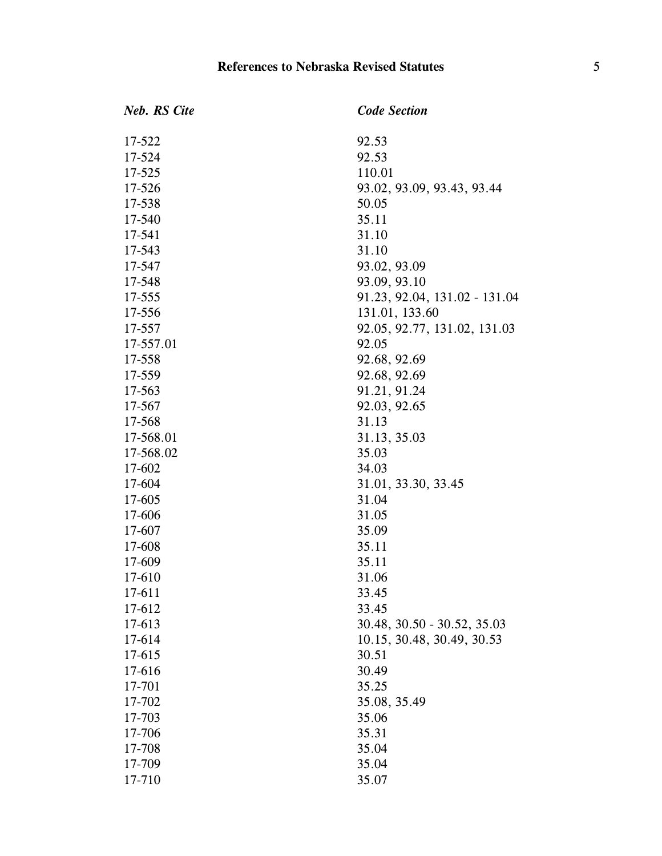| <b>Neb.</b> RS Cite | <b>Code Section</b>           |
|---------------------|-------------------------------|
| 17-522              | 92.53                         |
| 17-524              | 92.53                         |
| 17-525              | 110.01                        |
| 17-526              | 93.02, 93.09, 93.43, 93.44    |
| 17-538              | 50.05                         |
| 17-540              | 35.11                         |
| 17-541              | 31.10                         |
| 17-543              | 31.10                         |
| 17-547              | 93.02, 93.09                  |
| 17-548              | 93.09, 93.10                  |
| 17-555              | 91.23, 92.04, 131.02 - 131.04 |
| 17-556              | 131.01, 133.60                |
| 17-557              | 92.05, 92.77, 131.02, 131.03  |
| 17-557.01           | 92.05                         |
| 17-558              | 92.68, 92.69                  |
| 17-559              | 92.68, 92.69                  |
| 17-563              | 91.21, 91.24                  |
| 17-567              | 92.03, 92.65                  |
| 17-568              | 31.13                         |
| 17-568.01           | 31.13, 35.03                  |
| 17-568.02           | 35.03                         |
| 17-602              | 34.03                         |
| 17-604              | 31.01, 33.30, 33.45           |
| 17-605              | 31.04                         |
| 17-606              | 31.05                         |
| 17-607              | 35.09                         |
| 17-608              | 35.11                         |
| 17-609              | 35.11                         |
| 17-610              | 31.06                         |
| 17-611              | 33.45                         |
| 17-612              | 33.45                         |
| 17-613              | $30.48, 30.50 - 30.52, 35.03$ |
| 17-614              | 10.15, 30.48, 30.49, 30.53    |
| 17-615              | 30.51                         |
| 17-616              | 30.49                         |
| 17-701              | 35.25                         |
| 17-702              | 35.08, 35.49                  |
| 17-703              | 35.06                         |
| 17-706              | 35.31                         |
| 17-708              | 35.04                         |
| 17-709              | 35.04                         |
| 17-710              | 35.07                         |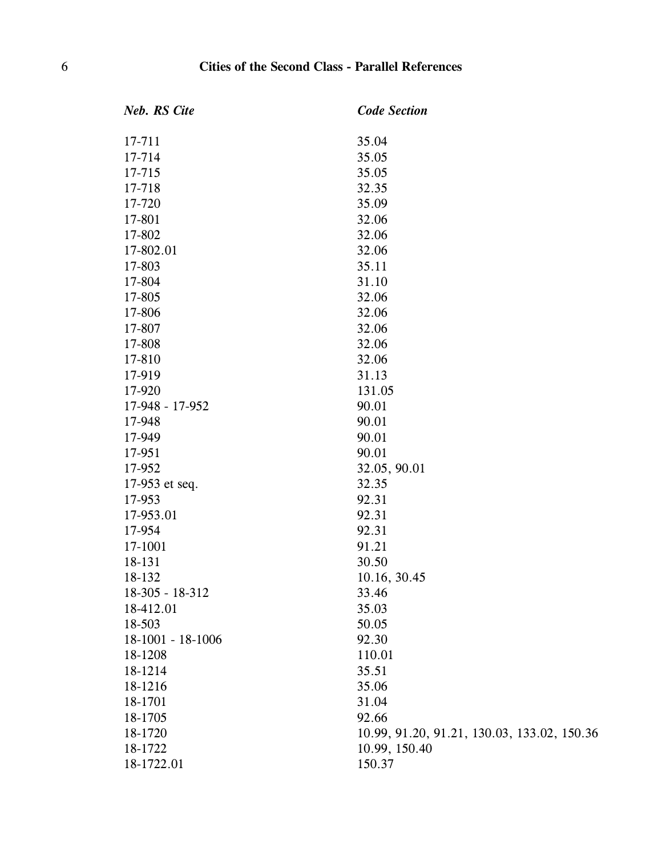| <b>Neb.</b> RS Cite | <b>Code Section</b>                         |
|---------------------|---------------------------------------------|
| 17-711              | 35.04                                       |
| 17-714              | 35.05                                       |
| 17-715              | 35.05                                       |
| 17-718              | 32.35                                       |
| 17-720              | 35.09                                       |
| 17-801              | 32.06                                       |
| 17-802              | 32.06                                       |
| 17-802.01           | 32.06                                       |
| 17-803              | 35.11                                       |
| 17-804              | 31.10                                       |
| 17-805              | 32.06                                       |
| 17-806              | 32.06                                       |
| 17-807              | 32.06                                       |
| 17-808              | 32.06                                       |
| 17-810              | 32.06                                       |
| 17-919              | 31.13                                       |
| 17-920              | 131.05                                      |
| 17-948 - 17-952     | 90.01                                       |
| 17-948              | 90.01                                       |
| 17-949              | 90.01                                       |
| 17-951              | 90.01                                       |
| 17-952              | 32.05, 90.01                                |
| 17-953 et seq.      | 32.35                                       |
| 17-953              | 92.31                                       |
| 17-953.01           | 92.31                                       |
| 17-954              | 92.31                                       |
| 17-1001             | 91.21                                       |
| 18-131              | 30.50                                       |
| 18-132              | 10.16, 30.45                                |
| 18-305 - 18-312     | 33.46                                       |
| 18-412.01           | 35.03                                       |
| 18-503              | 50.05                                       |
| 18-1001 - 18-1006   | 92.30                                       |
| 18-1208             | 110.01                                      |
| 18-1214             | 35.51                                       |
| 18-1216             | 35.06                                       |
| 18-1701             | 31.04                                       |
| 18-1705             | 92.66                                       |
| 18-1720             | 10.99, 91.20, 91.21, 130.03, 133.02, 150.36 |
| 18-1722             | 10.99, 150.40                               |
| 18-1722.01          | 150.37                                      |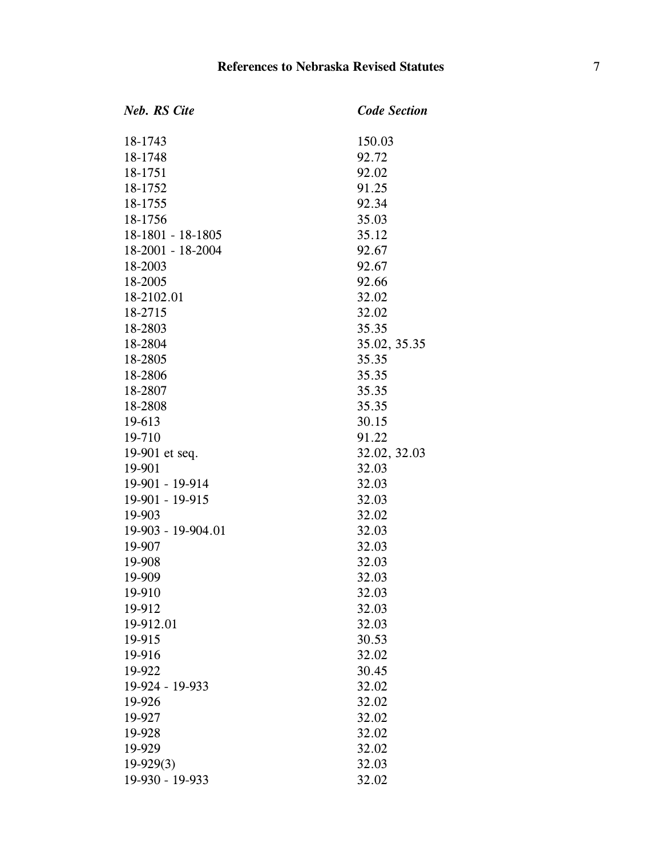| <b>Neb. RS Cite</b> | <b>Code Section</b> |
|---------------------|---------------------|
| 18-1743             | 150.03              |
| 18-1748             | 92.72               |
| 18-1751             | 92.02               |
| 18-1752             | 91.25               |
| 18-1755             | 92.34               |
| 18-1756             | 35.03               |
| 18-1801 - 18-1805   | 35.12               |
| 18-2001 - 18-2004   | 92.67               |
| 18-2003             | 92.67               |
| 18-2005             | 92.66               |
| 18-2102.01          | 32.02               |
| 18-2715             | 32.02               |
| 18-2803             | 35.35               |
| 18-2804             | 35.02, 35.35        |
| 18-2805             | 35.35               |
| 18-2806             | 35.35               |
| 18-2807             | 35.35               |
| 18-2808             | 35.35               |
| 19-613              | 30.15               |
| 19-710              | 91.22               |
| 19-901 et seq.      | 32.02, 32.03        |
| 19-901              | 32.03               |
| 19-901 - 19-914     | 32.03               |
| 19-901 - 19-915     | 32.03               |
| 19-903              | 32.02               |
| 19-903 - 19-904.01  | 32.03               |
| 19-907              | 32.03               |
| 19-908              | 32.03               |
| 19-909              | 32.03               |
| 19-910              | 32.03               |
| 19-912              | 32.03               |
| 19-912.01           | 32.03               |
| 19-915              | 30.53               |
| 19-916              | 32.02               |
| 19-922              | 30.45               |
| 19-924 - 19-933     | 32.02               |
| 19-926              | 32.02               |
| 19-927              | 32.02               |
| 19-928              | 32.02               |
| 19-929              | 32.02               |
| $19-929(3)$         | 32.03               |
| 19-930 - 19-933     | 32.02               |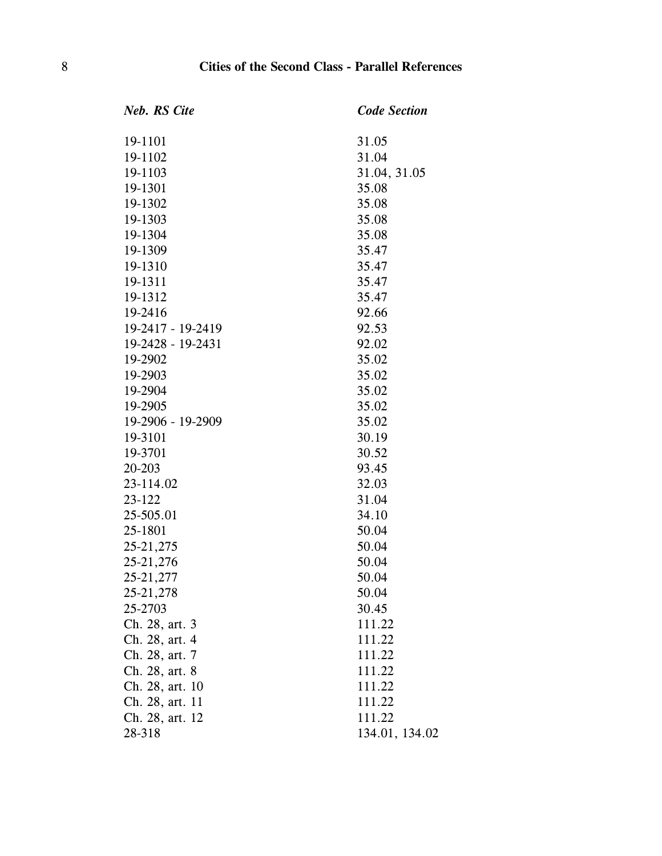| <b>Neb. RS Cite</b> | <b>Code Section</b> |
|---------------------|---------------------|
| 19-1101             | 31.05               |
| 19-1102             | 31.04               |
| 19-1103             | 31.04, 31.05        |
| 19-1301             | 35.08               |
| 19-1302             | 35.08               |
| 19-1303             | 35.08               |
| 19-1304             | 35.08               |
| 19-1309             | 35.47               |
| 19-1310             | 35.47               |
| 19-1311             | 35.47               |
| 19-1312             | 35.47               |
| 19-2416             | 92.66               |
| 19-2417 - 19-2419   | 92.53               |
| 19-2428 - 19-2431   | 92.02               |
| 19-2902             | 35.02               |
| 19-2903             | 35.02               |
| 19-2904             | 35.02               |
| 19-2905             | 35.02               |
| 19-2906 - 19-2909   | 35.02               |
| 19-3101             | 30.19               |
| 19-3701             | 30.52               |
| 20-203              | 93.45               |
| 23-114.02           | 32.03               |
| 23-122              | 31.04               |
| 25-505.01           | 34.10               |
| 25-1801             | 50.04               |
| 25-21, 275          | 50.04               |
| 25-21,276           | 50.04               |
| 25-21, 277          | 50.04               |
| 25-21,278           | 50.04               |
| 25-2703             | 30.45               |
| Ch. 28, art. 3      | 111.22              |
| Ch. 28, art. 4      | 111.22              |
| Ch. 28, art. 7      | 111.22              |
| Ch. 28, art. 8      | 111.22              |
| Ch. 28, art. 10     | 111.22              |
| Ch. 28, art. 11     | 111.22              |
| Ch. 28, art. 12     | 111.22              |
| 28-318              | 134.01, 134.02      |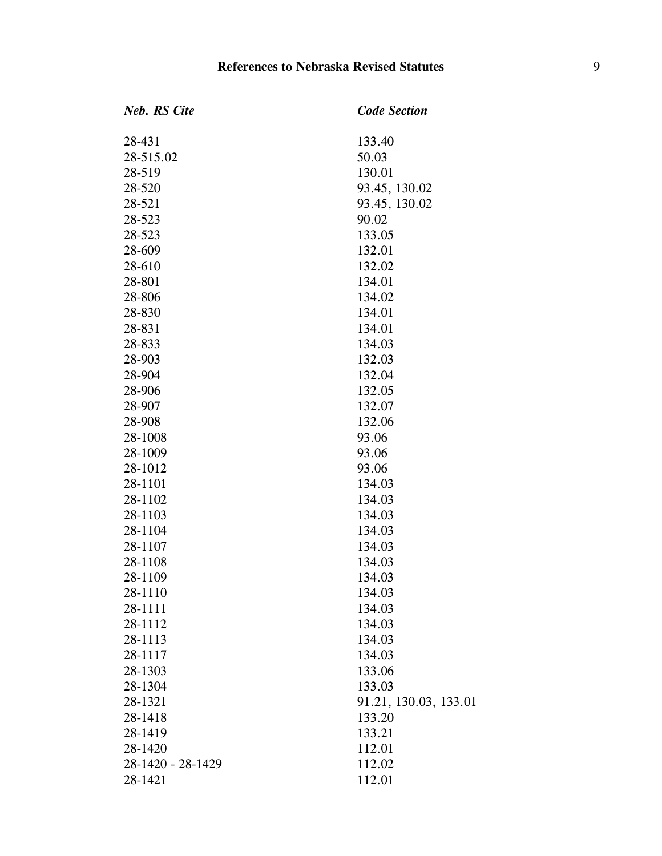| <b>Neb. RS Cite</b> | <b>Code Section</b>   |
|---------------------|-----------------------|
| 28-431              | 133.40                |
| 28-515.02           | 50.03                 |
| 28-519              | 130.01                |
| 28-520              | 93.45, 130.02         |
| 28-521              | 93.45, 130.02         |
| 28-523              | 90.02                 |
| 28-523              | 133.05                |
| 28-609              | 132.01                |
| 28-610              | 132.02                |
| 28-801              | 134.01                |
| 28-806              | 134.02                |
| 28-830              | 134.01                |
| 28-831              | 134.01                |
| 28-833              | 134.03                |
| 28-903              | 132.03                |
| 28-904              | 132.04                |
| 28-906              | 132.05                |
| 28-907              | 132.07                |
| 28-908              | 132.06                |
| 28-1008             | 93.06                 |
| 28-1009             | 93.06                 |
| 28-1012             | 93.06                 |
| 28-1101             | 134.03                |
| 28-1102             | 134.03                |
| 28-1103             | 134.03                |
| 28-1104             | 134.03                |
| 28-1107             | 134.03                |
| 28-1108             | 134.03                |
| 28-1109             | 134.03                |
| 28-1110             | 134.03                |
| 28-1111             | 134.03                |
| 28-1112             | 134.03                |
| 28-1113             | 134.03                |
| 28-1117             | 134.03                |
| 28-1303             | 133.06                |
| 28-1304             | 133.03                |
| 28-1321             | 91.21, 130.03, 133.01 |
| 28-1418             | 133.20                |
| 28-1419             | 133.21                |
| 28-1420             | 112.01                |
| 28-1420 - 28-1429   | 112.02                |
| 28-1421             | 112.01                |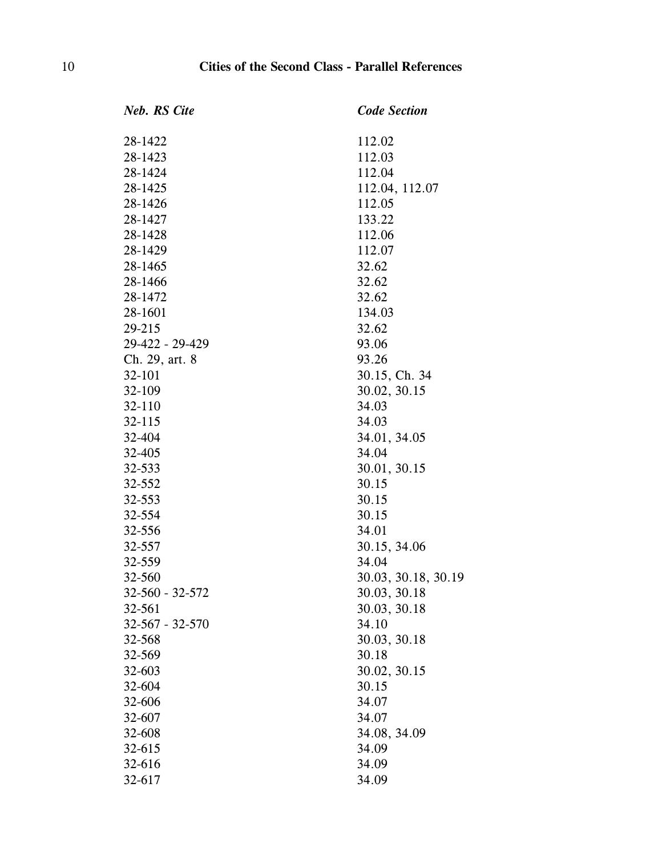| <b>Neb. RS Cite</b>   | <b>Code Section</b> |
|-----------------------|---------------------|
| 28-1422               | 112.02              |
| 28-1423               | 112.03              |
| 28-1424               | 112.04              |
| 28-1425               | 112.04, 112.07      |
| 28-1426               | 112.05              |
| 28-1427               | 133.22              |
| 28-1428               | 112.06              |
| 28-1429               | 112.07              |
| 28-1465               | 32.62               |
| 28-1466               | 32.62               |
| 28-1472               | 32.62               |
| 28-1601               | 134.03              |
| 29-215                | 32.62               |
| 29-422 - 29-429       | 93.06               |
| Ch. 29, art. 8        | 93.26               |
| 32-101                | 30.15, Ch. 34       |
| 32-109                | 30.02, 30.15        |
| 32-110                | 34.03               |
| 32-115                | 34.03               |
| 32-404                | 34.01, 34.05        |
| 32-405                | 34.04               |
| 32-533                | 30.01, 30.15        |
| 32-552                | 30.15               |
| 32-553                | 30.15               |
| 32-554                | 30.15               |
| 32-556                | 34.01               |
| 32-557                | 30.15, 34.06        |
| 32-559                | 34.04               |
| 32-560                | 30.03, 30.18, 30.19 |
| 32-560 - 32-572       | 30.03, 30.18        |
| 32-561                | 30.03, 30.18        |
| $32 - 567 - 32 - 570$ | 34.10               |
| 32-568                | 30.03, 30.18        |
| 32-569                | 30.18               |
| 32-603                | 30.02, 30.15        |
| 32-604                | 30.15               |
| 32-606                | 34.07               |
| 32-607                | 34.07               |
| 32-608                | 34.08, 34.09        |
| 32-615                | 34.09               |
| 32-616                | 34.09               |
| 32-617                | 34.09               |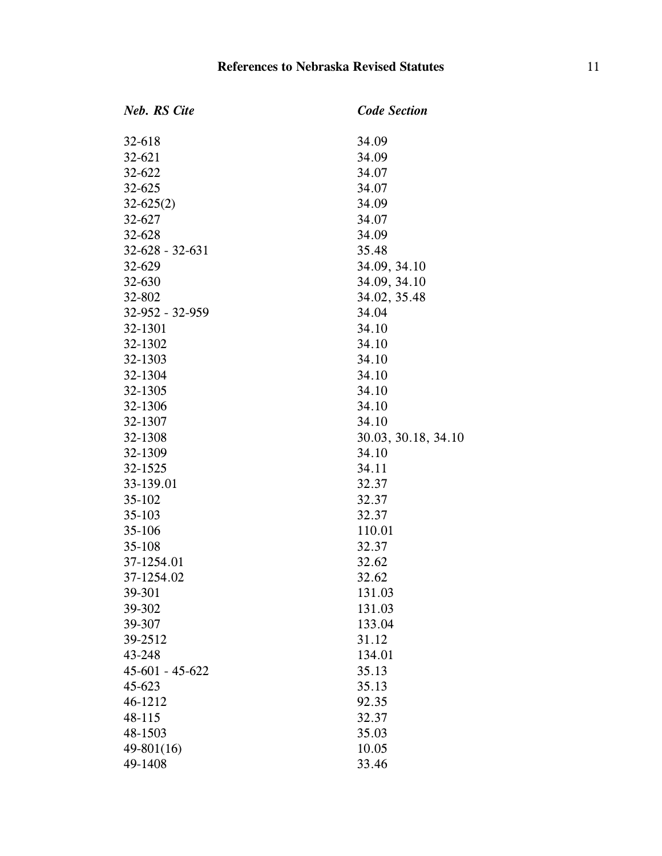| <b>Neb.</b> RS Cite   | <b>Code Section</b> |
|-----------------------|---------------------|
| 32-618                | 34.09               |
| 32-621                | 34.09               |
| 32-622                | 34.07               |
| 32-625                | 34.07               |
| $32 - 625(2)$         | 34.09               |
| 32-627                | 34.07               |
| 32-628                | 34.09               |
| $32 - 628 - 32 - 631$ | 35.48               |
| 32-629                | 34.09, 34.10        |
| 32-630                | 34.09, 34.10        |
| 32-802                | 34.02, 35.48        |
| 32-952 - 32-959       | 34.04               |
| 32-1301               | 34.10               |
| 32-1302               | 34.10               |
| 32-1303               | 34.10               |
| 32-1304               | 34.10               |
| 32-1305               | 34.10               |
| 32-1306               | 34.10               |
| 32-1307               | 34.10               |
| 32-1308               | 30.03, 30.18, 34.10 |
| 32-1309               | 34.10               |
| 32-1525               | 34.11               |
| 33-139.01             | 32.37               |
| 35-102                | 32.37               |
| 35-103                | 32.37               |
| 35-106                | 110.01              |
| 35-108                | 32.37               |
| 37-1254.01            | 32.62               |
| 37-1254.02            | 32.62               |
| 39-301                | 131.03              |
| 39-302                | 131.03              |
| 39-307                | 133.04              |
| 39-2512               | 31.12               |
| 43-248                | 134.01              |
| $45-601 - 45-622$     | 35.13               |
| 45-623                | 35.13               |
| 46-1212               | 92.35               |
| 48-115                | 32.37               |
| 48-1503               | 35.03               |
| $49 - 801(16)$        | 10.05               |
| 49-1408               | 33.46               |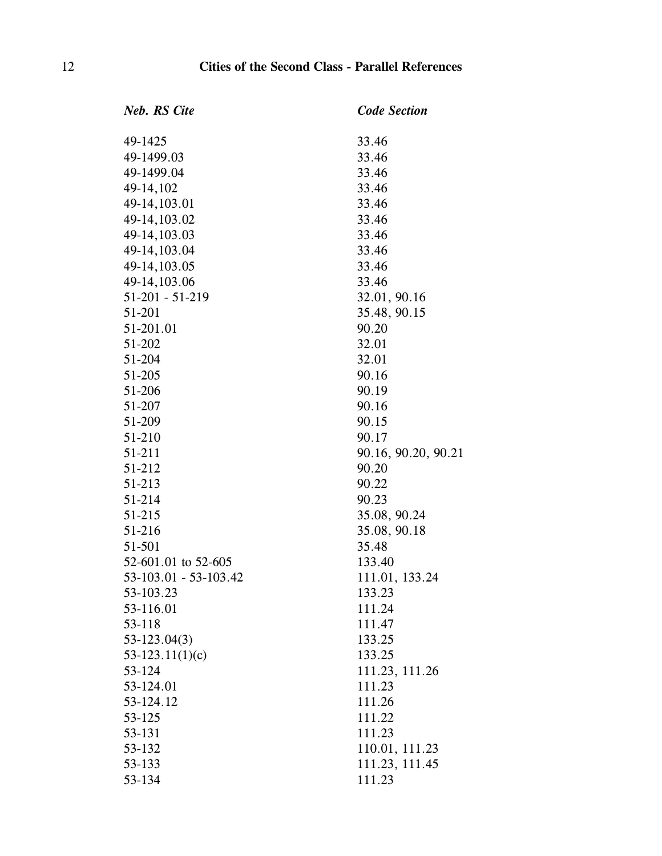| <b>Neb. RS Cite</b>   | <b>Code Section</b> |
|-----------------------|---------------------|
| 49-1425               | 33.46               |
| 49-1499.03            | 33.46               |
| 49-1499.04            | 33.46               |
| 49-14,102             | 33.46               |
| 49-14, 103.01         | 33.46               |
| 49-14, 103.02         | 33.46               |
| 49-14, 103.03         | 33.46               |
| 49-14, 103.04         | 33.46               |
| 49-14, 103.05         | 33.46               |
| 49-14, 103.06         | 33.46               |
| $51-201 - 51-219$     | 32.01, 90.16        |
| 51-201                | 35.48, 90.15        |
| 51-201.01             | 90.20               |
| 51-202                | 32.01               |
| 51-204                | 32.01               |
| 51-205                | 90.16               |
| 51-206                | 90.19               |
| 51-207                | 90.16               |
| 51-209                | 90.15               |
| 51-210                | 90.17               |
| 51-211                | 90.16, 90.20, 90.21 |
| 51-212                | 90.20               |
| 51-213                | 90.22               |
| 51-214                | 90.23               |
| 51-215                | 35.08, 90.24        |
| 51-216                | 35.08, 90.18        |
| 51-501                | 35.48               |
| 52-601.01 to 52-605   | 133.40              |
| 53-103.01 - 53-103.42 | 111.01, 133.24      |
| 53-103.23             | 133.23              |
| 53-116.01             | 111.24              |
| 53-118                | 111.47              |
| $53 - 123.04(3)$      | 133.25              |
| $53 - 123.11(1)(c)$   | 133.25              |
| 53-124                | 111.23, 111.26      |
| 53-124.01             | 111.23              |
| 53-124.12             | 111.26              |
| 53-125                | 111.22              |
| 53-131                | 111.23              |
| 53-132                | 110.01, 111.23      |
| 53-133                | 111.23, 111.45      |
| 53-134                | 111.23              |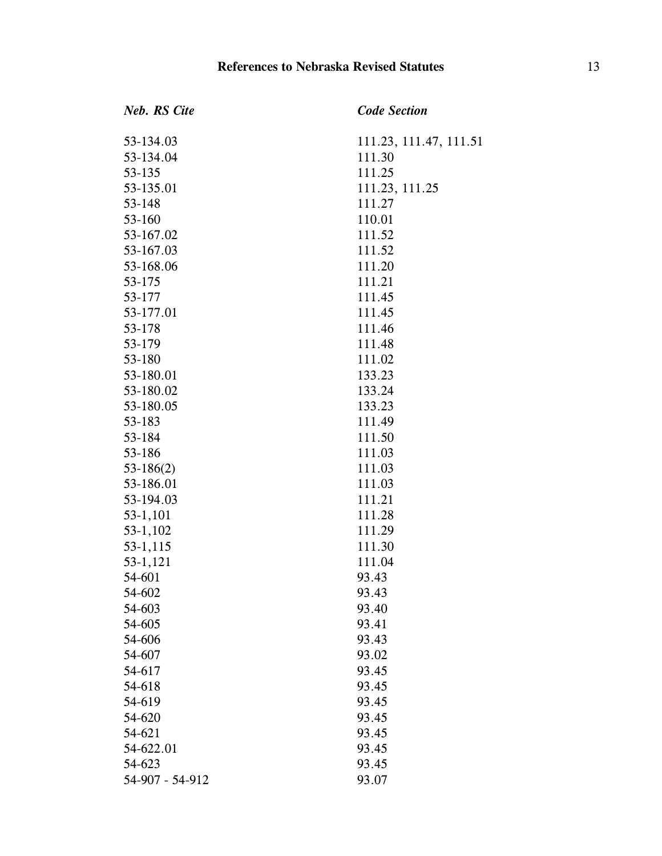| <b>Neb. RS Cite</b> | <b>Code Section</b>    |
|---------------------|------------------------|
| 53-134.03           | 111.23, 111.47, 111.51 |
| 53-134.04           | 111.30                 |
| 53-135              | 111.25                 |
| 53-135.01           | 111.23, 111.25         |
| 53-148              | 111.27                 |
| 53-160              | 110.01                 |
| 53-167.02           | 111.52                 |
| 53-167.03           | 111.52                 |
| 53-168.06           | 111.20                 |
| 53-175              | 111.21                 |
| 53-177              | 111.45                 |
| 53-177.01           | 111.45                 |
| 53-178              | 111.46                 |
| 53-179              | 111.48                 |
| 53-180              | 111.02                 |
| 53-180.01           | 133.23                 |
| 53-180.02           | 133.24                 |
| 53-180.05           | 133.23                 |
| 53-183              | 111.49                 |
| 53-184              | 111.50                 |
| 53-186              | 111.03                 |
| $53-186(2)$         | 111.03                 |
| 53-186.01           | 111.03                 |
| 53-194.03           | 111.21                 |
| 53-1,101            | 111.28                 |
| 53-1,102            | 111.29                 |
| 53-1,115            | 111.30                 |
| 53-1,121            | 111.04                 |
| 54-601              | 93.43                  |
| 54-602              | 93.43                  |
| 54-603              | 93.40                  |
| 54-605              | 93.41                  |
| 54-606              | 93.43                  |
| 54-607              | 93.02                  |
| 54-617              | 93.45                  |
| 54-618              | 93.45                  |
| 54-619              | 93.45                  |
| 54-620              | 93.45                  |
| 54-621              | 93.45                  |
| 54-622.01           | 93.45                  |
| 54-623              | 93.45                  |
| 54-907 - 54-912     | 93.07                  |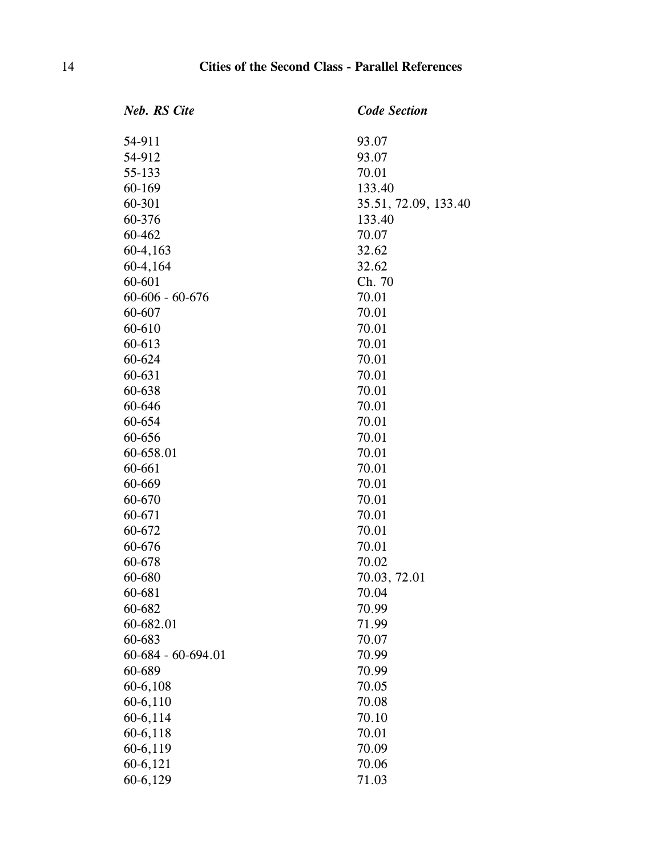| <b>Neb. RS Cite</b>   | <b>Code Section</b>  |
|-----------------------|----------------------|
| 54-911                | 93.07                |
| 54-912                | 93.07                |
| 55-133                | 70.01                |
| 60-169                | 133.40               |
| 60-301                | 35.51, 72.09, 133.40 |
| 60-376                | 133.40               |
| 60-462                | 70.07                |
| $60-4, 163$           | 32.62                |
| 60-4,164              | 32.62                |
| 60-601                | Ch. 70               |
| $60 - 606 - 60 - 676$ | 70.01                |
| 60-607                | 70.01                |
| 60-610                | 70.01                |
| 60-613                | 70.01                |
| 60-624                | 70.01                |
| 60-631                | 70.01                |
| 60-638                | 70.01                |
| 60-646                | 70.01                |
| 60-654                | 70.01                |
| 60-656                | 70.01                |
| 60-658.01             | 70.01                |
| 60-661                | 70.01                |
| 60-669                | 70.01                |
| 60-670                | 70.01                |
| 60-671                | 70.01                |
| 60-672                | 70.01                |
| 60-676                | 70.01                |
| 60-678                | 70.02                |
| 60-680                | 70.03, 72.01         |
| 60-681                | 70.04                |
| 60-682                | 70.99                |
| 60-682.01             | 71.99                |
| 60-683                | 70.07                |
| $60-684 - 60-694.01$  | 70.99                |
| 60-689                | 70.99                |
| 60-6,108              | 70.05                |
| $60-6, 110$           | 70.08                |
| 60-6,114              | 70.10                |
| 60-6,118              | 70.01                |
| 60-6,119              | 70.09                |
| 60-6,121              | 70.06                |
| 60-6,129              | 71.03                |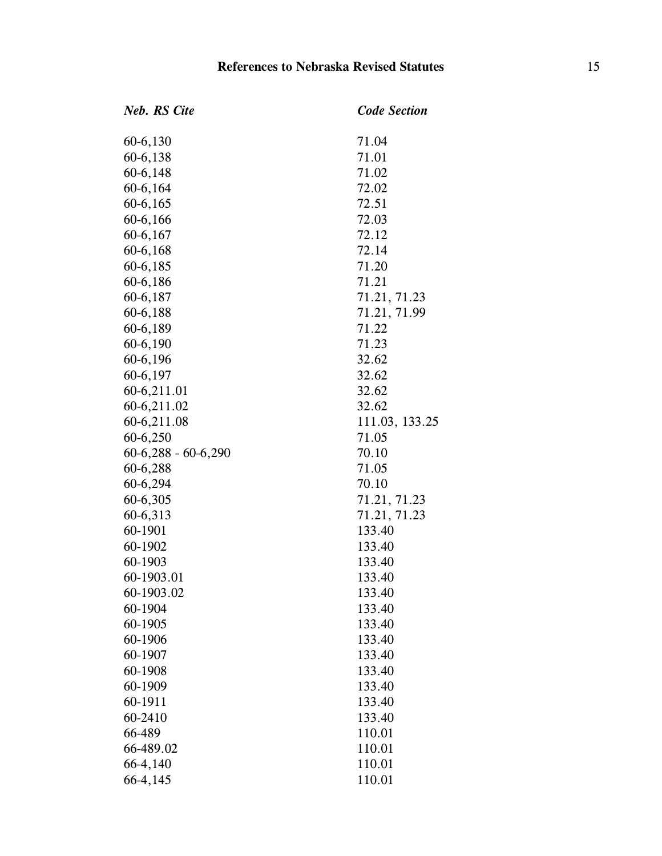| <b>Neb.</b> RS Cite   | <b>Code Section</b> |
|-----------------------|---------------------|
| 60-6,130              | 71.04               |
| 60-6,138              | 71.01               |
| 60-6,148              | 71.02               |
| 60-6,164              | 72.02               |
| $60-6, 165$           | 72.51               |
| 60-6,166              | 72.03               |
| 60-6,167              | 72.12               |
| 60-6,168              | 72.14               |
| 60-6,185              | 71.20               |
| 60-6,186              | 71.21               |
| 60-6,187              | 71.21, 71.23        |
| 60-6,188              | 71.21, 71.99        |
| 60-6,189              | 71.22               |
| 60-6,190              | 71.23               |
| 60-6,196              | 32.62               |
| 60-6,197              | 32.62               |
| 60-6,211.01           | 32.62               |
| 60-6,211.02           | 32.62               |
| 60-6,211.08           | 111.03, 133.25      |
| 60-6,250              | 71.05               |
| $60-6,288 - 60-6,290$ | 70.10               |
| 60-6,288              | 71.05               |
| 60-6,294              | 70.10               |
| 60-6,305              | 71.21, 71.23        |
| 60-6,313              | 71.21, 71.23        |
| 60-1901               | 133.40              |
| 60-1902               | 133.40              |
| 60-1903               | 133.40              |
| 60-1903.01            | 133.40              |
| 60-1903.02            | 133.40              |
| 60-1904               | 133.40              |
| 60-1905               | 133.40              |
| 60-1906               | 133.40              |
| 60-1907               | 133.40              |
| 60-1908               | 133.40              |
| 60-1909               | 133.40              |
| 60-1911               | 133.40              |
| 60-2410               | 133.40              |
| 66-489                | 110.01              |
| 66-489.02             | 110.01              |
| 66-4,140              | 110.01              |
| 66-4,145              | 110.01              |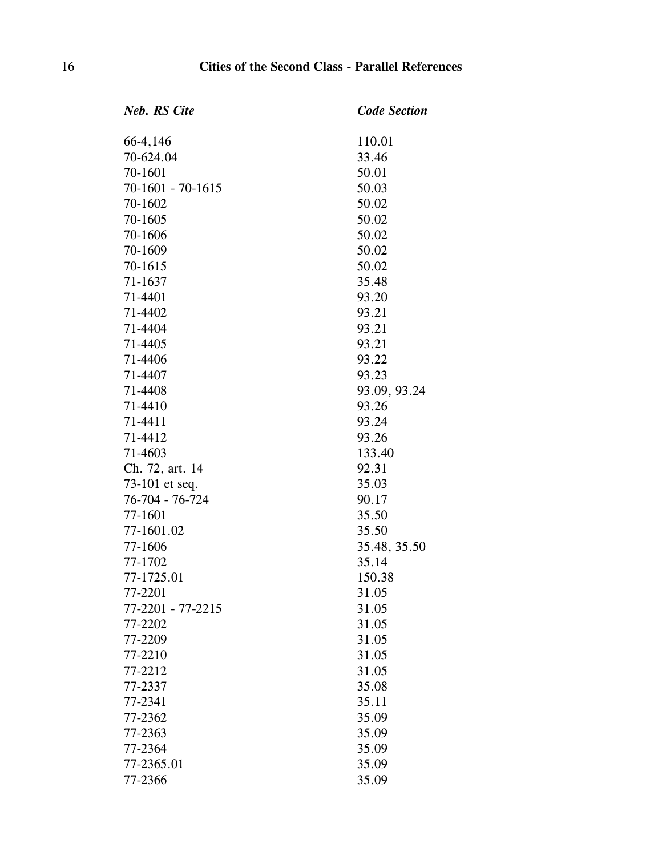| <b>Neb. RS Cite</b> | <b>Code Section</b> |
|---------------------|---------------------|
| 66-4,146            | 110.01              |
| 70-624.04           | 33.46               |
| 70-1601             | 50.01               |
| 70-1601 - 70-1615   | 50.03               |
| 70-1602             | 50.02               |
| 70-1605             | 50.02               |
| 70-1606             | 50.02               |
| 70-1609             | 50.02               |
| 70-1615             | 50.02               |
| 71-1637             | 35.48               |
| 71-4401             | 93.20               |
| 71-4402             | 93.21               |
| 71-4404             | 93.21               |
| 71-4405             | 93.21               |
| 71-4406             | 93.22               |
| 71-4407             | 93.23               |
| 71-4408             | 93.09, 93.24        |
| 71-4410             | 93.26               |
| 71-4411             | 93.24               |
| 71-4412             | 93.26               |
| 71-4603             | 133.40              |
| Ch. 72, art. 14     | 92.31               |
| 73-101 et seq.      | 35.03               |
| 76-704 - 76-724     | 90.17               |
| 77-1601             | 35.50               |
| 77-1601.02          | 35.50               |
| 77-1606             | 35.48, 35.50        |
| 77-1702             | 35.14               |
| 77-1725.01          | 150.38              |
| 77-2201             | 31.05               |
| 77-2201 - 77-2215   | 31.05               |
| 77-2202             | 31.05               |
| 77-2209             | 31.05               |
| 77-2210             | 31.05               |
| 77-2212             | 31.05               |
| 77-2337             | 35.08               |
| 77-2341             | 35.11               |
| 77-2362             | 35.09               |
| 77-2363             | 35.09               |
| 77-2364             | 35.09               |
| 77-2365.01          | 35.09               |
| 77-2366             | 35.09               |